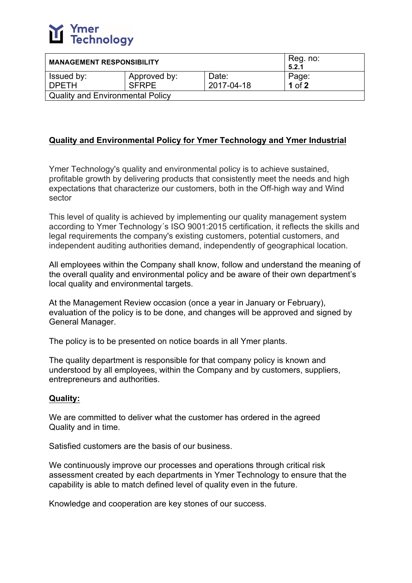

| <b>MANAGEMENT RESPONSIBILITY</b>        | Reg. no:<br>5.2.1 |            |            |  |
|-----------------------------------------|-------------------|------------|------------|--|
| Issued by:                              | Approved by:      | Date:      | Page:      |  |
| <b>DPFTH</b>                            | <b>SFRPE</b>      | 2017-04-18 | $1$ of $2$ |  |
| <b>Quality and Environmental Policy</b> |                   |            |            |  |

## **Quality and Environmental Policy for Ymer Technology and Ymer Industrial**

Ymer Technology's quality and environmental policy is to achieve sustained, profitable growth by delivering products that consistently meet the needs and high expectations that characterize our customers, both in the Off-high way and Wind sector

This level of quality is achieved by implementing our quality management system according to Ymer Technology´s ISO 9001:2015 certification, it reflects the skills and legal requirements the company's existing customers, potential customers, and independent auditing authorities demand, independently of geographical location.

All employees within the Company shall know, follow and understand the meaning of the overall quality and environmental policy and be aware of their own department's local quality and environmental targets.

At the Management Review occasion (once a year in January or February), evaluation of the policy is to be done, and changes will be approved and signed by General Manager.

The policy is to be presented on notice boards in all Ymer plants.

The quality department is responsible for that company policy is known and understood by all employees, within the Company and by customers, suppliers, entrepreneurs and authorities.

## **Quality:**

We are committed to deliver what the customer has ordered in the agreed Quality and in time.

Satisfied customers are the basis of our business.

We continuously improve our processes and operations through critical risk assessment created by each departments in Ymer Technology to ensure that the capability is able to match defined level of quality even in the future.

Knowledge and cooperation are key stones of our success.